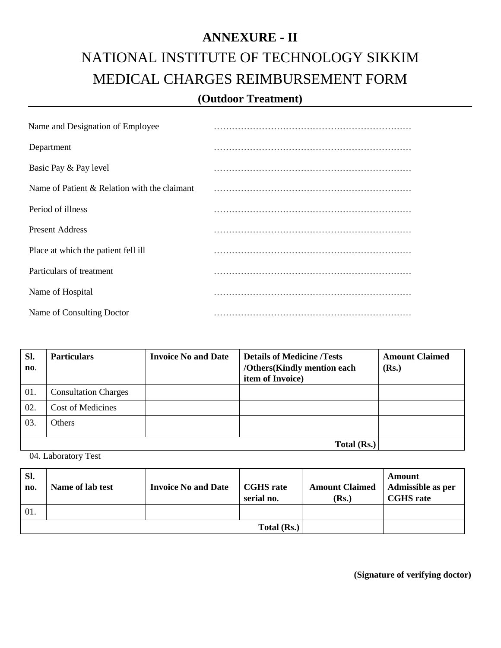## **ANNEXURE - II** NATIONAL INSTITUTE OF TECHNOLOGY SIKKIM MEDICAL CHARGES REIMBURSEMENT FORM **(Outdoor Treatment)**

| Name and Designation of Employee             |  |
|----------------------------------------------|--|
| Department                                   |  |
| Basic Pay & Pay level                        |  |
| Name of Patient & Relation with the claimant |  |
| Period of illness                            |  |
| <b>Present Address</b>                       |  |
| Place at which the patient fell ill          |  |
| Particulars of treatment                     |  |
| Name of Hospital                             |  |
| Name of Consulting Doctor                    |  |

| Sl.<br>$\mathbf{n}$ . | <b>Particulars</b>          | <b>Invoice No and Date</b> | <b>Details of Medicine /Tests</b><br>/Others(Kindly mention each<br>item of Invoice) | <b>Amount Claimed</b><br>(Rs.) |
|-----------------------|-----------------------------|----------------------------|--------------------------------------------------------------------------------------|--------------------------------|
| 01.                   | <b>Consultation Charges</b> |                            |                                                                                      |                                |
| 02.                   | <b>Cost of Medicines</b>    |                            |                                                                                      |                                |
| 03.                   | <b>Others</b>               |                            |                                                                                      |                                |
|                       |                             |                            |                                                                                      |                                |

04. Laboratory Test

| Sl.<br>no.        | Name of lab test | <b>Invoice No and Date</b> | <b>CGHS</b> rate<br>serial no. | <b>Amount Claimed</b><br>(Rs.) | Amount<br>Admissible as per<br><b>CGHS</b> rate |
|-------------------|------------------|----------------------------|--------------------------------|--------------------------------|-------------------------------------------------|
| $\overline{01}$ . |                  |                            |                                |                                |                                                 |
|                   |                  |                            | Total (Rs.)                    |                                |                                                 |

**(Signature of verifying doctor)**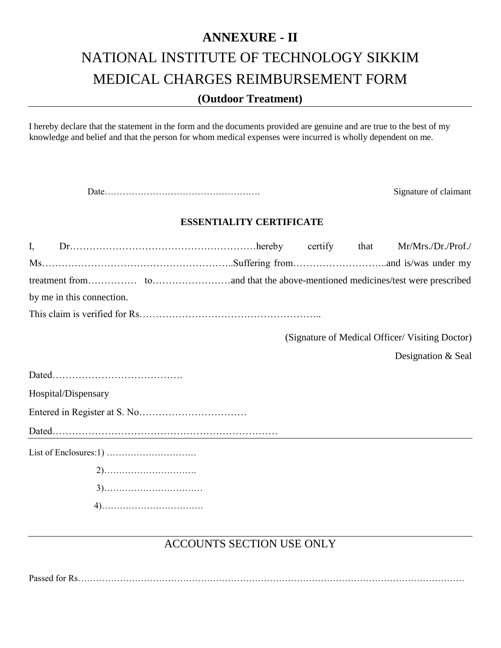### **ANNEXURE - II** NATIONAL INSTITUTE OF TECHNOLOGY SIKKIM MEDICAL CHARGES REIMBURSEMENT FORM **(Outdoor Treatment)**

I hereby declare that the statement in the form and the documents provided are genuine and are true to the best of my knowledge and belief and that the person for whom medical expenses were incurred is wholly dependent on me.

Date……………………………………………. Signature of claimant

#### **ESSENTIALITY CERTIFICATE**

| $I_{\star}$ |                           |  |  | that | Mr/Mrs./Dr./Prof./                              |  |
|-------------|---------------------------|--|--|------|-------------------------------------------------|--|
|             |                           |  |  |      |                                                 |  |
|             |                           |  |  |      |                                                 |  |
|             | by me in this connection. |  |  |      |                                                 |  |
|             |                           |  |  |      |                                                 |  |
|             |                           |  |  |      | (Signature of Medical Officer/ Visiting Doctor) |  |
|             |                           |  |  |      | Designation & Seal                              |  |
|             |                           |  |  |      |                                                 |  |
|             | Hospital/Dispensary       |  |  |      |                                                 |  |
|             |                           |  |  |      |                                                 |  |
|             |                           |  |  |      |                                                 |  |
|             |                           |  |  |      |                                                 |  |
|             |                           |  |  |      |                                                 |  |
|             |                           |  |  |      |                                                 |  |
|             |                           |  |  |      |                                                 |  |

### ACCOUNTS SECTION USE ONLY

Passed for Rs…………………………………………………………………………………………………………………